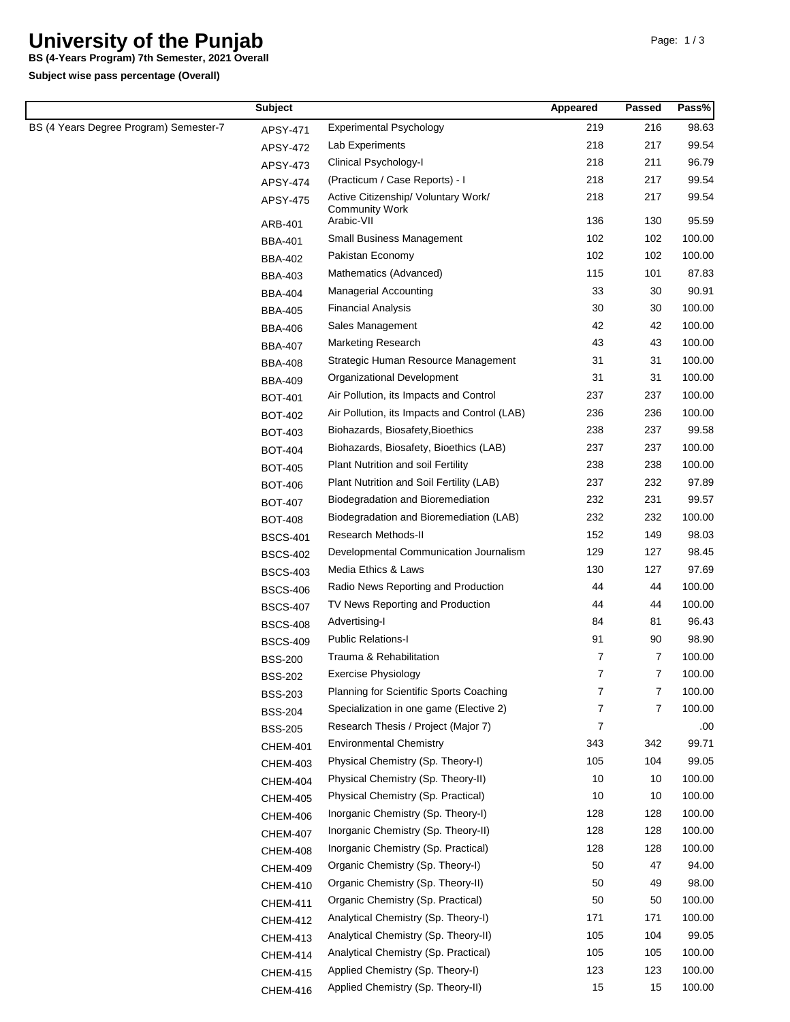## **University of the Punjab**

**BS (4-Years Program) 7th Semester, 2021 Overall**

**Subject wise pass percentage (Overall)**

| <b>Subject</b>                         |                 | Appeared                                     | <b>Passed</b> | Pass%          |        |
|----------------------------------------|-----------------|----------------------------------------------|---------------|----------------|--------|
| BS (4 Years Degree Program) Semester-7 | <b>APSY-471</b> | <b>Experimental Psychology</b>               | 219           | 216            | 98.63  |
|                                        | APSY-472        | Lab Experiments                              | 218           | 217            | 99.54  |
|                                        | APSY-473        | Clinical Psychology-I                        | 218           | 211            | 96.79  |
|                                        | APSY-474        | (Practicum / Case Reports) - I               | 218           | 217            | 99.54  |
|                                        | APSY-475        | Active Citizenship/ Voluntary Work/          | 218           | 217            | 99.54  |
|                                        | ARB-401         | <b>Community Work</b><br>Arabic-VII          | 136           | 130            | 95.59  |
|                                        | <b>BBA-401</b>  | Small Business Management                    | 102           | 102            | 100.00 |
|                                        | <b>BBA-402</b>  | Pakistan Economy                             | 102           | 102            | 100.00 |
|                                        | <b>BBA-403</b>  | Mathematics (Advanced)                       | 115           | 101            | 87.83  |
|                                        | <b>BBA-404</b>  | <b>Managerial Accounting</b>                 | 33            | 30             | 90.91  |
|                                        | <b>BBA-405</b>  | <b>Financial Analysis</b>                    | 30            | 30             | 100.00 |
|                                        | <b>BBA-406</b>  | Sales Management                             | 42            | 42             | 100.00 |
|                                        | <b>BBA-407</b>  | Marketing Research                           | 43            | 43             | 100.00 |
|                                        | <b>BBA-408</b>  | Strategic Human Resource Management          | 31            | 31             | 100.00 |
|                                        | <b>BBA-409</b>  | Organizational Development                   | 31            | 31             | 100.00 |
|                                        | <b>BOT-401</b>  | Air Pollution, its Impacts and Control       | 237           | 237            | 100.00 |
|                                        | <b>BOT-402</b>  | Air Pollution, its Impacts and Control (LAB) | 236           | 236            | 100.00 |
|                                        | <b>BOT-403</b>  | Biohazards, Biosafety, Bioethics             | 238           | 237            | 99.58  |
|                                        | <b>BOT-404</b>  | Biohazards, Biosafety, Bioethics (LAB)       | 237           | 237            | 100.00 |
|                                        | <b>BOT-405</b>  | Plant Nutrition and soil Fertility           | 238           | 238            | 100.00 |
|                                        | <b>BOT-406</b>  | Plant Nutrition and Soil Fertility (LAB)     | 237           | 232            | 97.89  |
|                                        | <b>BOT-407</b>  | Biodegradation and Bioremediation            | 232           | 231            | 99.57  |
|                                        | <b>BOT-408</b>  | Biodegradation and Bioremediation (LAB)      | 232           | 232            | 100.00 |
|                                        | <b>BSCS-401</b> | Research Methods-II                          | 152           | 149            | 98.03  |
|                                        | <b>BSCS-402</b> | Developmental Communication Journalism       | 129           | 127            | 98.45  |
|                                        | <b>BSCS-403</b> | Media Ethics & Laws                          | 130           | 127            | 97.69  |
|                                        | <b>BSCS-406</b> | Radio News Reporting and Production          | 44            | 44             | 100.00 |
|                                        | <b>BSCS-407</b> | TV News Reporting and Production             | 44            | 44             | 100.00 |
|                                        | <b>BSCS-408</b> | Advertising-I                                | 84            | 81             | 96.43  |
|                                        | <b>BSCS-409</b> | <b>Public Relations-I</b>                    | 91            | 90             | 98.90  |
|                                        | <b>BSS-200</b>  | Trauma & Rehabilitation                      | 7             | 7              | 100.00 |
|                                        | <b>BSS-202</b>  | <b>Exercise Physiology</b>                   | 7             | $\overline{7}$ | 100.00 |
|                                        | <b>BSS-203</b>  | Planning for Scientific Sports Coaching      | 7             | $\overline{7}$ | 100.00 |
|                                        | <b>BSS-204</b>  | Specialization in one game (Elective 2)      | 7             | 7              | 100.00 |
|                                        | <b>BSS-205</b>  | Research Thesis / Project (Major 7)          | 7             |                | .00.   |
|                                        | <b>CHEM-401</b> | <b>Environmental Chemistry</b>               | 343           | 342            | 99.71  |
|                                        | <b>CHEM-403</b> | Physical Chemistry (Sp. Theory-I)            | 105           | 104            | 99.05  |
|                                        | <b>CHEM-404</b> | Physical Chemistry (Sp. Theory-II)           | 10            | 10             | 100.00 |
|                                        | <b>CHEM-405</b> | Physical Chemistry (Sp. Practical)           | 10            | 10             | 100.00 |
|                                        | <b>CHEM-406</b> | Inorganic Chemistry (Sp. Theory-I)           | 128           | 128            | 100.00 |
|                                        | <b>CHEM-407</b> | Inorganic Chemistry (Sp. Theory-II)          | 128           | 128            | 100.00 |
|                                        | <b>CHEM-408</b> | Inorganic Chemistry (Sp. Practical)          | 128           | 128            | 100.00 |
|                                        | <b>CHEM-409</b> | Organic Chemistry (Sp. Theory-I)             | 50            | 47             | 94.00  |
|                                        | <b>CHEM-410</b> | Organic Chemistry (Sp. Theory-II)            | 50            | 49             | 98.00  |
|                                        | <b>CHEM-411</b> | Organic Chemistry (Sp. Practical)            | 50            | 50             | 100.00 |
|                                        | <b>CHEM-412</b> | Analytical Chemistry (Sp. Theory-I)          | 171           | 171            | 100.00 |
|                                        | <b>CHEM-413</b> | Analytical Chemistry (Sp. Theory-II)         | 105           | 104            | 99.05  |
|                                        | <b>CHEM-414</b> | Analytical Chemistry (Sp. Practical)         | 105           | 105            | 100.00 |
|                                        | <b>CHEM-415</b> | Applied Chemistry (Sp. Theory-I)             | 123           | 123            | 100.00 |
|                                        | <b>CHEM-416</b> | Applied Chemistry (Sp. Theory-II)            | 15            | 15             | 100.00 |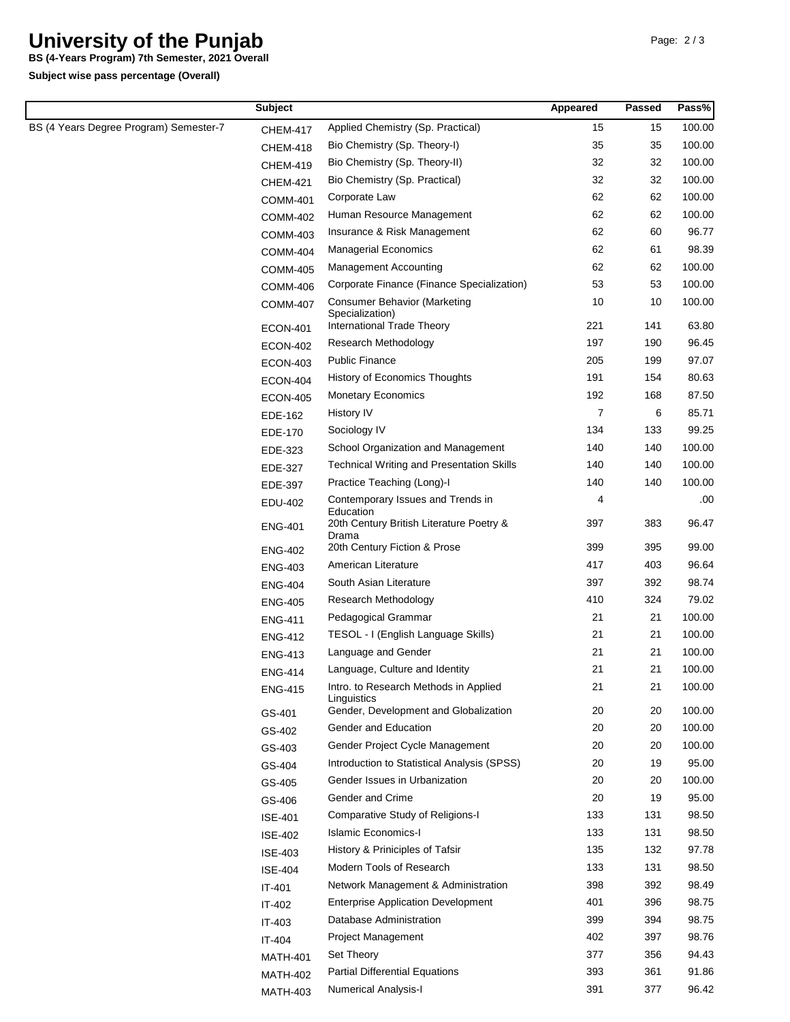## **University of the Punjab**

**BS (4-Years Program) 7th Semester, 2021 Overall**

**Subject wise pass percentage (Overall)**

|                                        | <b>Subject</b>  |                                                        | Appeared       | Passed | Pass%  |
|----------------------------------------|-----------------|--------------------------------------------------------|----------------|--------|--------|
| BS (4 Years Degree Program) Semester-7 | <b>CHEM-417</b> | Applied Chemistry (Sp. Practical)                      | 15             | 15     | 100.00 |
|                                        | <b>CHEM-418</b> | Bio Chemistry (Sp. Theory-I)                           | 35             | 35     | 100.00 |
|                                        | <b>CHEM-419</b> | Bio Chemistry (Sp. Theory-II)                          | 32             | 32     | 100.00 |
|                                        | <b>CHEM-421</b> | Bio Chemistry (Sp. Practical)                          | 32             | 32     | 100.00 |
|                                        | <b>COMM-401</b> | Corporate Law                                          | 62             | 62     | 100.00 |
|                                        | <b>COMM-402</b> | Human Resource Management                              | 62             | 62     | 100.00 |
|                                        | COMM-403        | Insurance & Risk Management                            | 62             | 60     | 96.77  |
|                                        | <b>COMM-404</b> | <b>Managerial Economics</b>                            | 62             | 61     | 98.39  |
|                                        | <b>COMM-405</b> | Management Accounting                                  | 62             | 62     | 100.00 |
|                                        | <b>COMM-406</b> | Corporate Finance (Finance Specialization)             | 53             | 53     | 100.00 |
|                                        | <b>COMM-407</b> | <b>Consumer Behavior (Marketing</b><br>Specialization) | 10             | 10     | 100.00 |
|                                        | <b>ECON-401</b> | International Trade Theory                             | 221            | 141    | 63.80  |
|                                        | <b>ECON-402</b> | Research Methodology                                   | 197            | 190    | 96.45  |
|                                        | <b>ECON-403</b> | <b>Public Finance</b>                                  | 205            | 199    | 97.07  |
|                                        | <b>ECON-404</b> | <b>History of Economics Thoughts</b>                   | 191            | 154    | 80.63  |
|                                        | <b>ECON-405</b> | <b>Monetary Economics</b>                              | 192            | 168    | 87.50  |
|                                        | EDE-162         | History IV                                             | $\overline{7}$ | 6      | 85.71  |
|                                        | EDE-170         | Sociology IV                                           | 134            | 133    | 99.25  |
|                                        | EDE-323         | School Organization and Management                     | 140            | 140    | 100.00 |
|                                        | EDE-327         | <b>Technical Writing and Presentation Skills</b>       | 140            | 140    | 100.00 |
|                                        | EDE-397         | Practice Teaching (Long)-I                             | 140            | 140    | 100.00 |
|                                        | EDU-402         | Contemporary Issues and Trends in<br>Education         | 4              |        | .00.   |
|                                        | ENG-401         | 20th Century British Literature Poetry &<br>Drama      | 397            | 383    | 96.47  |
|                                        | <b>ENG-402</b>  | 20th Century Fiction & Prose                           | 399            | 395    | 99.00  |
|                                        | <b>ENG-403</b>  | American Literature                                    | 417            | 403    | 96.64  |
|                                        | <b>ENG-404</b>  | South Asian Literature                                 | 397            | 392    | 98.74  |
|                                        | <b>ENG-405</b>  | Research Methodology                                   | 410            | 324    | 79.02  |
|                                        | <b>ENG-411</b>  | Pedagogical Grammar                                    | 21             | 21     | 100.00 |
|                                        | <b>ENG-412</b>  | TESOL - I (English Language Skills)                    | 21             | 21     | 100.00 |
|                                        | <b>ENG-413</b>  | Language and Gender                                    | 21             | 21     | 100.00 |
|                                        | <b>ENG-414</b>  | Language, Culture and Identity                         | 21             | 21     | 100.00 |
|                                        | <b>ENG-415</b>  | Intro. to Research Methods in Applied<br>Linguistics   | 21             | 21     | 100.00 |
|                                        | GS-401          | Gender, Development and Globalization                  | 20             | 20     | 100.00 |
|                                        | GS-402          | Gender and Education                                   | 20             | 20     | 100.00 |
|                                        | GS-403          | Gender Project Cycle Management                        | 20             | 20     | 100.00 |
|                                        | GS-404          | Introduction to Statistical Analysis (SPSS)            | 20             | 19     | 95.00  |
|                                        | GS-405          | Gender Issues in Urbanization                          | 20             | 20     | 100.00 |
|                                        | GS-406          | Gender and Crime                                       | 20             | 19     | 95.00  |
|                                        | <b>ISE-401</b>  | Comparative Study of Religions-I                       | 133            | 131    | 98.50  |
|                                        | <b>ISE-402</b>  | <b>Islamic Economics-I</b>                             | 133            | 131    | 98.50  |
|                                        | <b>ISE-403</b>  | History & Priniciples of Tafsir                        | 135            | 132    | 97.78  |
|                                        | <b>ISE-404</b>  | Modern Tools of Research                               | 133            | 131    | 98.50  |
|                                        | IT-401          | Network Management & Administration                    | 398            | 392    | 98.49  |
|                                        | IT-402          | <b>Enterprise Application Development</b>              | 401            | 396    | 98.75  |
|                                        | IT-403          | Database Administration                                | 399            | 394    | 98.75  |
|                                        | IT-404          | <b>Project Management</b>                              | 402            | 397    | 98.76  |
|                                        | <b>MATH-401</b> | Set Theory                                             | 377            | 356    | 94.43  |
|                                        | <b>MATH-402</b> | <b>Partial Differential Equations</b>                  | 393            | 361    | 91.86  |
|                                        | <b>MATH-403</b> | <b>Numerical Analysis-I</b>                            | 391            | 377    | 96.42  |